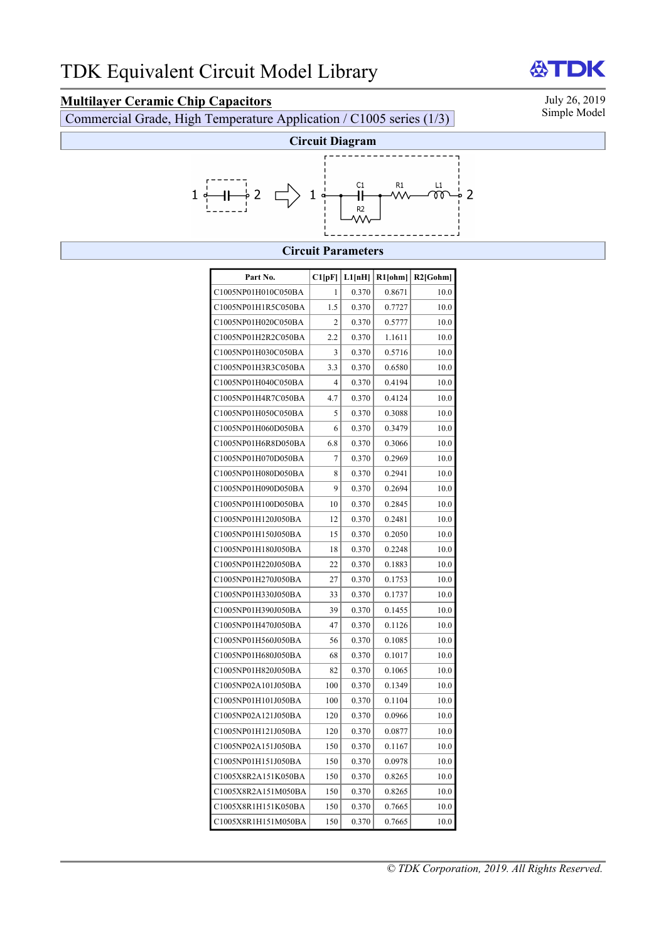**Multilayer Ceramic Chip Capacitors**<br>
Commercial Grade High Temperature Application / C1005 series (1/3) Simple Model Commercial Grade, High Temperature Application / C1005 series (1/3)



# **Circuit Parameters**

| Part No.            | Cl[pF] | L1[nH] | $R1$ [ohm] | $R2$ [Gohm] |
|---------------------|--------|--------|------------|-------------|
| C1005NP01H010C050BA | 1      | 0.370  | 0.8671     | 10.0        |
| C1005NP01H1R5C050BA | 1.5    | 0.370  | 0.7727     | 10.0        |
| C1005NP01H020C050BA | 2      | 0.370  | 0.5777     | 10.0        |
| C1005NP01H2R2C050BA | 2.2    | 0.370  | 1.1611     | 10.0        |
| C1005NP01H030C050BA | 3      | 0.370  | 0.5716     | 10.0        |
| C1005NP01H3R3C050BA | 3.3    | 0.370  | 0.6580     | 10.0        |
| C1005NP01H040C050BA | 4      | 0.370  | 0.4194     | 10.0        |
| C1005NP01H4R7C050BA | 4.7    | 0.370  | 0.4124     | 10.0        |
| C1005NP01H050C050BA | 5      | 0.370  | 0.3088     | 10.0        |
| C1005NP01H060D050BA | 6      | 0.370  | 0.3479     | 10.0        |
| C1005NP01H6R8D050BA | 6.8    | 0.370  | 0.3066     | 10.0        |
| C1005NP01H070D050BA | 7      | 0.370  | 0.2969     | 10.0        |
| C1005NP01H080D050BA | 8      | 0.370  | 0.2941     | 10.0        |
| C1005NP01H090D050BA | 9      | 0.370  | 0.2694     | 10.0        |
| C1005NP01H100D050BA | 10     | 0.370  | 0.2845     | 10.0        |
| C1005NP01H120J050BA | 12     | 0.370  | 0.2481     | 10.0        |
| C1005NP01H150J050BA | 15     | 0.370  | 0.2050     | 10.0        |
| C1005NP01H180J050BA | 18     | 0.370  | 0.2248     | 10.0        |
| C1005NP01H220J050BA | 22     | 0.370  | 0.1883     | 10.0        |
| C1005NP01H270J050BA | 27     | 0.370  | 0.1753     | 10.0        |
| C1005NP01H330J050BA | 33     | 0.370  | 0.1737     | 10.0        |
| C1005NP01H390J050BA | 39     | 0.370  | 0.1455     | 10.0        |
| C1005NP01H470J050BA | 47     | 0.370  | 0.1126     | 10.0        |
| C1005NP01H560J050BA | 56     | 0.370  | 0.1085     | 10.0        |
| C1005NP01H680J050BA | 68     | 0.370  | 0.1017     | 10.0        |
| C1005NP01H820J050BA | 82     | 0.370  | 0.1065     | 10.0        |
| C1005NP02A101J050BA | 100    | 0.370  | 0.1349     | 10.0        |
| C1005NP01H101J050BA | 100    | 0.370  | 0.1104     | 10.0        |
| C1005NP02A121J050BA | 120    | 0.370  | 0.0966     | 10.0        |
| C1005NP01H121J050BA | 120    | 0.370  | 0.0877     | 10.0        |
| C1005NP02A151J050BA | 150    | 0.370  | 0.1167     | 10.0        |
| C1005NP01H151J050BA | 150    | 0.370  | 0.0978     | 10.0        |
| C1005X8R2A151K050BA | 150    | 0.370  | 0.8265     | 10.0        |
| C1005X8R2A151M050BA | 150    | 0.370  | 0.8265     | 10.0        |
| C1005X8R1H151K050BA | 150    | 0.370  | 0.7665     | 10.0        |
| C1005X8R1H151M050BA | 150    | 0.370  | 0.7665     | 10.0        |

**ATDK**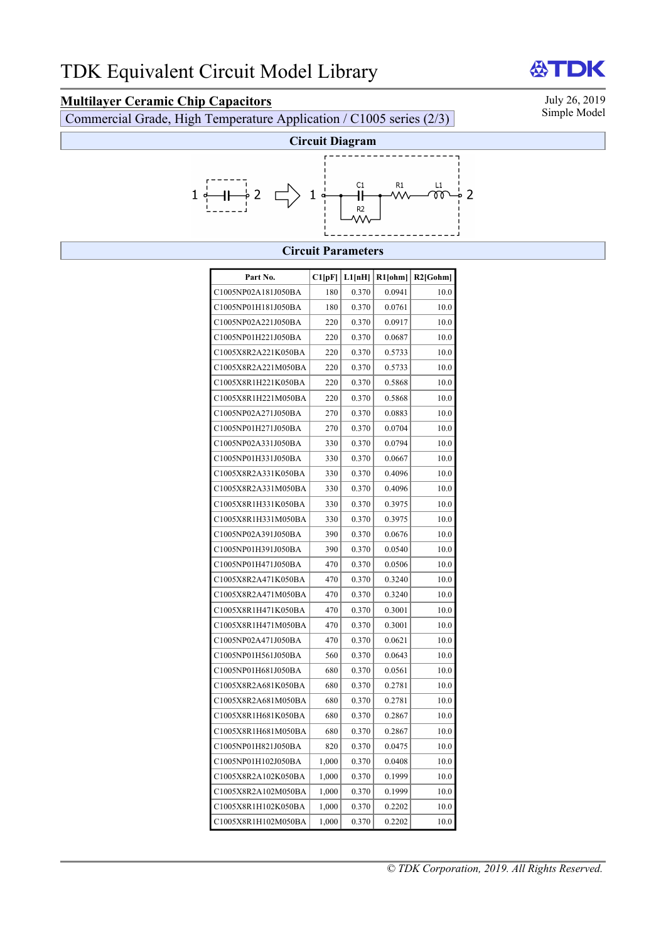**Multilayer Ceramic Chip Capacitors**<br>
Commercial Grade High Temperature Application / C1005 series (2/3) Simple Model Commercial Grade, High Temperature Application / C1005 series (2/3)



## **Circuit Parameters**

| Part No.            | C1[pF] | L1[nH] | $R1$ [ohm] | $R2$ [Gohm] |
|---------------------|--------|--------|------------|-------------|
| C1005NP02A181J050BA | 180    | 0.370  | 0.0941     | 10.0        |
| C1005NP01H181J050BA | 180    | 0.370  | 0.0761     | 10.0        |
| C1005NP02A221J050BA | 220    | 0.370  | 0.0917     | 10.0        |
| C1005NP01H221J050BA | 220    | 0.370  | 0.0687     | 10.0        |
| C1005X8R2A221K050BA | 220    | 0.370  | 0.5733     | 10.0        |
| C1005X8R2A221M050BA | 220    | 0.370  | 0.5733     | 10.0        |
| C1005X8R1H221K050BA | 220    | 0.370  | 0.5868     | 10.0        |
| C1005X8R1H221M050BA | 220    | 0.370  | 0.5868     | 10.0        |
| C1005NP02A271J050BA | 270    | 0.370  | 0.0883     | 10.0        |
| C1005NP01H271J050BA | 270    | 0.370  | 0.0704     | 10.0        |
| C1005NP02A331J050BA | 330    | 0.370  | 0.0794     | 10.0        |
| C1005NP01H331J050BA | 330    | 0.370  | 0.0667     | 10.0        |
| C1005X8R2A331K050BA | 330    | 0.370  | 0.4096     | 10.0        |
| C1005X8R2A331M050BA | 330    | 0.370  | 0.4096     | 10.0        |
| C1005X8R1H331K050BA | 330    | 0.370  | 0.3975     | 10.0        |
| C1005X8R1H331M050BA | 330    | 0.370  | 0.3975     | 10.0        |
| C1005NP02A391J050BA | 390    | 0.370  | 0.0676     | 10.0        |
| C1005NP01H391J050BA | 390    | 0.370  | 0.0540     | 10.0        |
| C1005NP01H471J050BA | 470    | 0.370  | 0.0506     | 10.0        |
| C1005X8R2A471K050BA | 470    | 0.370  | 0.3240     | 10.0        |
| C1005X8R2A471M050BA | 470    | 0.370  | 0.3240     | 10.0        |
| C1005X8R1H471K050BA | 470    | 0.370  | 0.3001     | 10.0        |
| C1005X8R1H471M050BA | 470    | 0.370  | 0.3001     | 10.0        |
| C1005NP02A471J050BA | 470    | 0.370  | 0.0621     | 10.0        |
| C1005NP01H561J050BA | 560    | 0.370  | 0.0643     | 10.0        |
| C1005NP01H681J050BA | 680    | 0.370  | 0.0561     | 10.0        |
| C1005X8R2A681K050BA | 680    | 0.370  | 0.2781     | 10.0        |
| C1005X8R2A681M050BA | 680    | 0.370  | 0.2781     | 10.0        |
| C1005X8R1H681K050BA | 680    | 0.370  | 0.2867     | 10.0        |
| C1005X8R1H681M050BA | 680    | 0.370  | 0.2867     | 10.0        |
| C1005NP01H821J050BA | 820    | 0.370  | 0.0475     | 10.0        |
| C1005NP01H102J050BA | 1,000  | 0.370  | 0.0408     | 10.0        |
| C1005X8R2A102K050BA | 1,000  | 0.370  | 0.1999     | 10.0        |
| C1005X8R2A102M050BA | 1,000  | 0.370  | 0.1999     | 10.0        |
| C1005X8R1H102K050BA | 1,000  | 0.370  | 0.2202     | 10.0        |
| C1005X8R1H102M050BA | 1,000  | 0.370  | 0.2202     | 10.0        |

**ATDK**